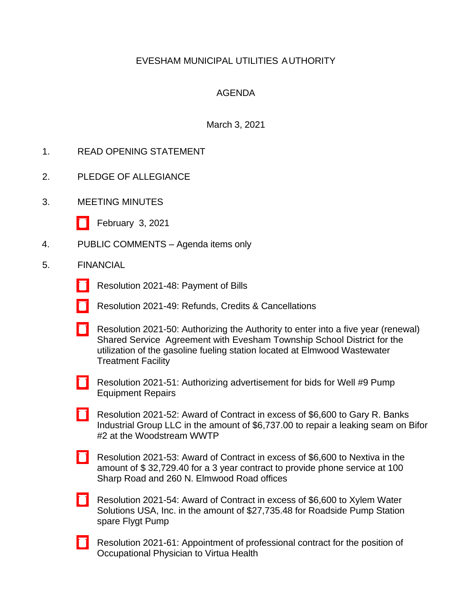# EVESHAM MUNICIPAL UTILITIES AUTHORITY

# AGENDA

## March 3, 2021

- 1. READ OPENING STATEMENT
- 2. PLEDGE OF ALLEGIANCE
- 3. MEETING MINUTES
	- [\[ \]](http://www.eveshammua.com/wp-content/uploads/2021/02/minutes-2-3-2021.pdf) February 3, 2021
- 4. PUBLIC COMMENTS Agenda items only
- 5. FINANCIAL
	- [\[ \]](http://www.eveshammua.com/wp-content/uploads/2021/03/Resolution-2021-48-February-Bill-List.pdf) Resolution 2021-48: Payment of Bills
	- [\[ \]](http://www.eveshammua.com/wp-content/uploads/2021/02/Resolution-2021-49-REFUNDS-.pdf) Resolution 2021-49: Refunds, Credits & Cancellations
	- [\[ \]](http://www.eveshammua.com/wp-content/uploads/2021/02/Resolution-2021-50-Authorize-Shared-Services-Agreement-with-Evesham-Township-School-District-fueling-station-.pdf) Resolution 2021-50: Authorizing the Authority to enter into a five year (renewal) Shared Service Agreement with Evesham Township School District for the utilization of the gasoline fueling station located at Elmwood Wastewater Treatment Facility
	- [\[ \]](http://www.eveshammua.com/wp-content/uploads/2021/02/Resolution-2021-51-Authorize-advertisement-Well-9-Pump-Equipment-Repairs.pdf) Resolution 2021-51: Authorizing advertisement for bids for Well #9 Pump Equipment Repairs
	- [\[ \]](http://www.eveshammua.com/wp-content/uploads/2021/02/Resolution-2021-52-Gary-Banks-Industrial-Group.pdf) Resolution 2021-52: Award of Contract in excess of \$6,600 to Gary R. Banks Industrial Group LLC in the amount of \$6,737.00 to repair a leaking seam on Bifor #2 at the Woodstream WWTP
	- [\[ \]](http://www.eveshammua.com/wp-content/uploads/2021/02/Resolution-2021-53-Nextiva.pdf) Resolution 2021-53: Award of Contract in excess of \$6,600 to Nextiva in the amount of \$ 32,729.40 for a 3 year contract to provide phone service at 100 Sharp Road and 260 N. Elmwood Road offices
	- [\[ \]](http://www.eveshammua.com/wp-content/uploads/2021/02/Resolution-2021-54-Xylem-Water-Solutions.pdf) Resolution 2021-54: Award of Contract in excess of \$6,600 to Xylem Water Solutions USA, Inc. in the amount of \$27,735.48 for Roadside Pump Station spare Flygt Pump
	- [\[ \]](http://www.eveshammua.com/wp-content/uploads/2021/03/Resolution-2021-61-Occupational-Physician-.pdf) Resolution 2021-61: Appointment of professional contract for the position of Occupational Physician to Virtua Health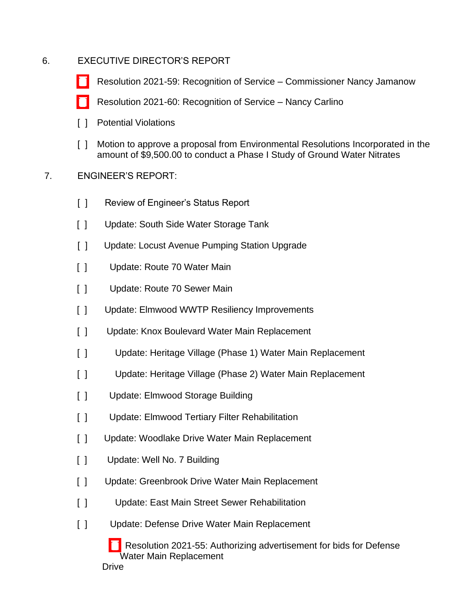# 6. EXECUTIVE DIRECTOR'S REPORT

- [\[ \]](http://www.eveshammua.com/wp-content/uploads/2021/03/Resolution-2021-59-Recognition-Nancy-Jamanow.pdf) Resolution 2021-59: Recognition of Service Commissioner Nancy Jamanow
- [\[ \]](http://www.eveshammua.com/wp-content/uploads/2021/03/Resolution-2021-60-Recognition-Nancy-Carlino.pdf) Resolution 2021-60: Recognition of Service Nancy Carlino
- [ ] Potential Violations
- [ ] Motion to approve a proposal from Environmental Resolutions Incorporated in the amount of \$9,500.00 to conduct a Phase I Study of Ground Water Nitrates
- 7. ENGINEER'S REPORT:
	- $\lceil \ \rceil$ Review of Engineer's Status Report
	- $[ ]$ Update: South Side Water Storage Tank
	- $\lceil$   $\rceil$ Update: Locust Avenue Pumping Station Upgrade
	- $\lceil$   $\rceil$ Update: Route 70 Water Main
	- $\lceil$   $\rceil$ Update: Route 70 Sewer Main
	- $\lceil$   $\rceil$ Update: Elmwood WWTP Resiliency Improvements
	- $\lceil$   $\rceil$ Update: Knox Boulevard Water Main Replacement
	- $\lceil$   $\rceil$ Update: Heritage Village (Phase 1) Water Main Replacement
	- $\lceil$   $\rceil$ Update: Heritage Village (Phase 2) Water Main Replacement
	- $\Box$ Update: Elmwood Storage Building
	- $\lceil$   $\rceil$ Update: Elmwood Tertiary Filter Rehabilitation
	- $[ ]$ Update: Woodlake Drive Water Main Replacement
	- $\lceil$   $\rceil$ Update: Well No. 7 Building
	- $\lceil$   $\rceil$ Update: Greenbrook Drive Water Main Replacement
	- $\lceil$   $\rceil$ Update: East Main Street Sewer Rehabilitation
	- $\lceil$   $\rceil$ Update: Defense Drive Water Main Replacement

[] Resolution 2021-55: Authorizing advertisement for bids for Defense Drive Water Main Replacement